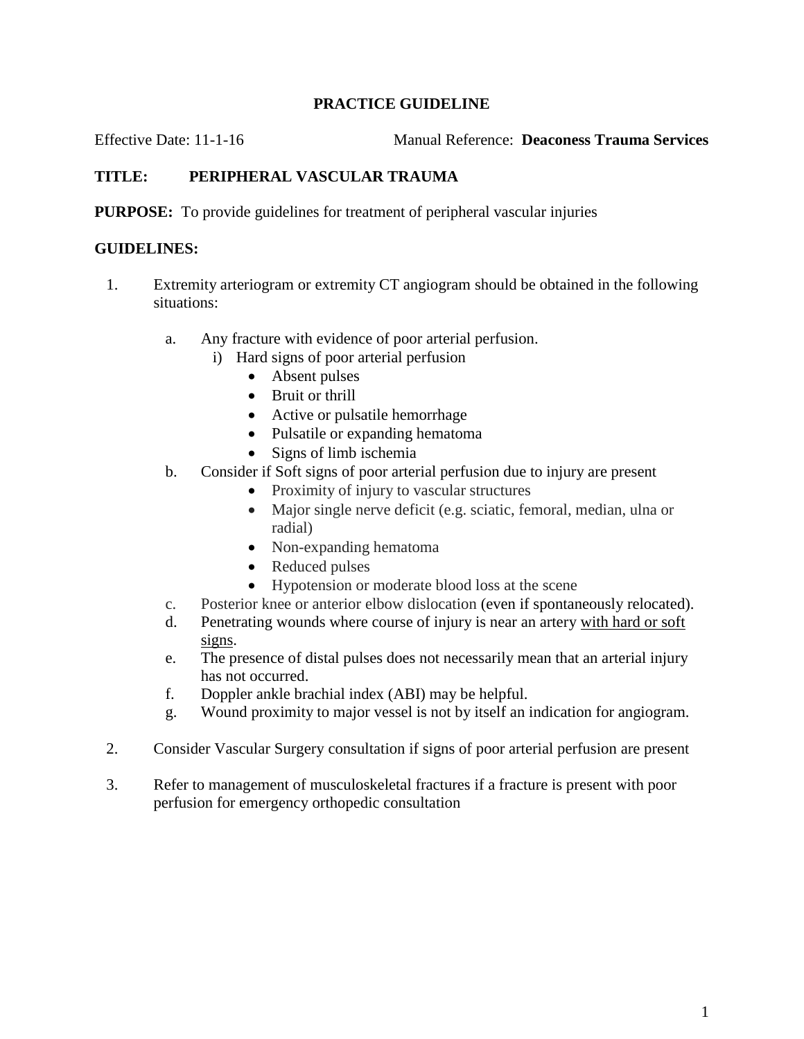## **PRACTICE GUIDELINE**

Effective Date: 11-1-16 Manual Reference: **Deaconess Trauma Services**

## **TITLE: PERIPHERAL VASCULAR TRAUMA**

**PURPOSE:** To provide guidelines for treatment of peripheral vascular injuries

## **GUIDELINES:**

- 1. Extremity arteriogram or extremity CT angiogram should be obtained in the following situations:
	- a. Any fracture with evidence of poor arterial perfusion.
		- i) Hard signs of poor arterial perfusion
			- Absent pulses
			- Bruit or thrill
			- Active or pulsatile hemorrhage
			- Pulsatile or expanding hematoma
			- $\bullet$  Signs of limb ischemia
	- b. Consider if Soft signs of poor arterial perfusion due to injury are present
		- Proximity of injury to vascular structures
		- Major single nerve deficit (e.g. sciatic, femoral, median, ulna or radial)
		- Non-expanding hematoma
		- Reduced pulses
		- Hypotension or moderate blood loss at the scene
	- c. Posterior knee or anterior elbow dislocation (even if spontaneously relocated).
	- d. Penetrating wounds where course of injury is near an artery with hard or soft signs.
	- e. The presence of distal pulses does not necessarily mean that an arterial injury has not occurred.
	- f. Doppler ankle brachial index (ABI) may be helpful.
	- g. Wound proximity to major vessel is not by itself an indication for angiogram.
- 2. Consider Vascular Surgery consultation if signs of poor arterial perfusion are present
- 3. Refer to management of musculoskeletal fractures if a fracture is present with poor perfusion for emergency orthopedic consultation